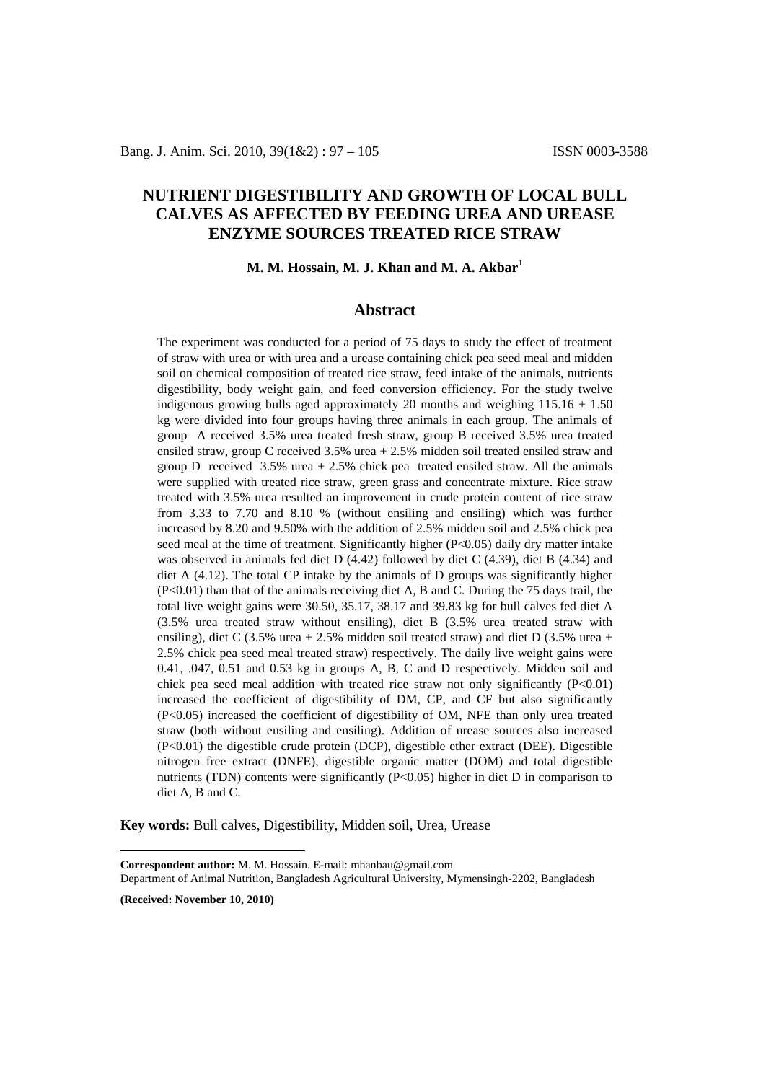# **NUTRIENT DIGESTIBILITY AND GROWTH OF LOCAL BULL CALVES AS AFFECTED BY FEEDING UREA AND UREASE ENZYME SOURCES TREATED RICE STRAW**

#### **M. M. Hossain, M. J. Khan and M. A. Akbar[1](#page-0-0)**

## **Abstract**

The experiment was conducted for a period of 75 days to study the effect of treatment of straw with urea or with urea and a urease containing chick pea seed meal and midden soil on chemical composition of treated rice straw, feed intake of the animals, nutrients digestibility, body weight gain, and feed conversion efficiency. For the study twelve indigenous growing bulls aged approximately 20 months and weighing  $115.16 \pm 1.50$ kg were divided into four groups having three animals in each group. The animals of group A received 3.5% urea treated fresh straw, group B received 3.5% urea treated ensiled straw, group C received 3.5% urea + 2.5% midden soil treated ensiled straw and group D received  $3.5\%$  urea  $+ 2.5\%$  chick pea treated ensiled straw. All the animals were supplied with treated rice straw, green grass and concentrate mixture. Rice straw treated with 3.5% urea resulted an improvement in crude protein content of rice straw from 3.33 to 7.70 and 8.10 % (without ensiling and ensiling) which was further increased by 8.20 and 9.50% with the addition of 2.5% midden soil and 2.5% chick pea seed meal at the time of treatment. Significantly higher (P<0.05) daily dry matter intake was observed in animals fed diet D (4.42) followed by diet C (4.39), diet B (4.34) and diet A (4.12). The total CP intake by the animals of D groups was significantly higher (P<0.01) than that of the animals receiving diet A, B and C. During the 75 days trail, the total live weight gains were 30.50, 35.17, 38.17 and 39.83 kg for bull calves fed diet A (3.5% urea treated straw without ensiling), diet B (3.5% urea treated straw with ensiling), diet C  $(3.5\%$  urea + 2.5% midden soil treated straw) and diet D  $(3.5\%$  urea + 2.5% chick pea seed meal treated straw) respectively. The daily live weight gains were 0.41, .047, 0.51 and 0.53 kg in groups A, B, C and D respectively. Midden soil and chick pea seed meal addition with treated rice straw not only significantly  $(P<0.01)$ increased the coefficient of digestibility of DM, CP, and CF but also significantly (P<0.05) increased the coefficient of digestibility of OM, NFE than only urea treated straw (both without ensiling and ensiling). Addition of urease sources also increased (P<0.01) the digestible crude protein (DCP), digestible ether extract (DEE). Digestible nitrogen free extract (DNFE), digestible organic matter (DOM) and total digestible nutrients (TDN) contents were significantly  $(P<0.05)$  higher in diet D in comparison to diet A, B and C.

**Key words:** Bull calves, Digestibility, Midden soil, Urea, Urease

Department of Animal Nutrition, Bangladesh Agricultural University, Mymensingh-2202, Bangladesh

**(Received: November 10, 2010)**

 $\overline{a}$ 

<span id="page-0-0"></span>**Correspondent author:** M. M. Hossain. E-mail: [mhanbau@gmail.com](mailto:mhanbau@gmail.com)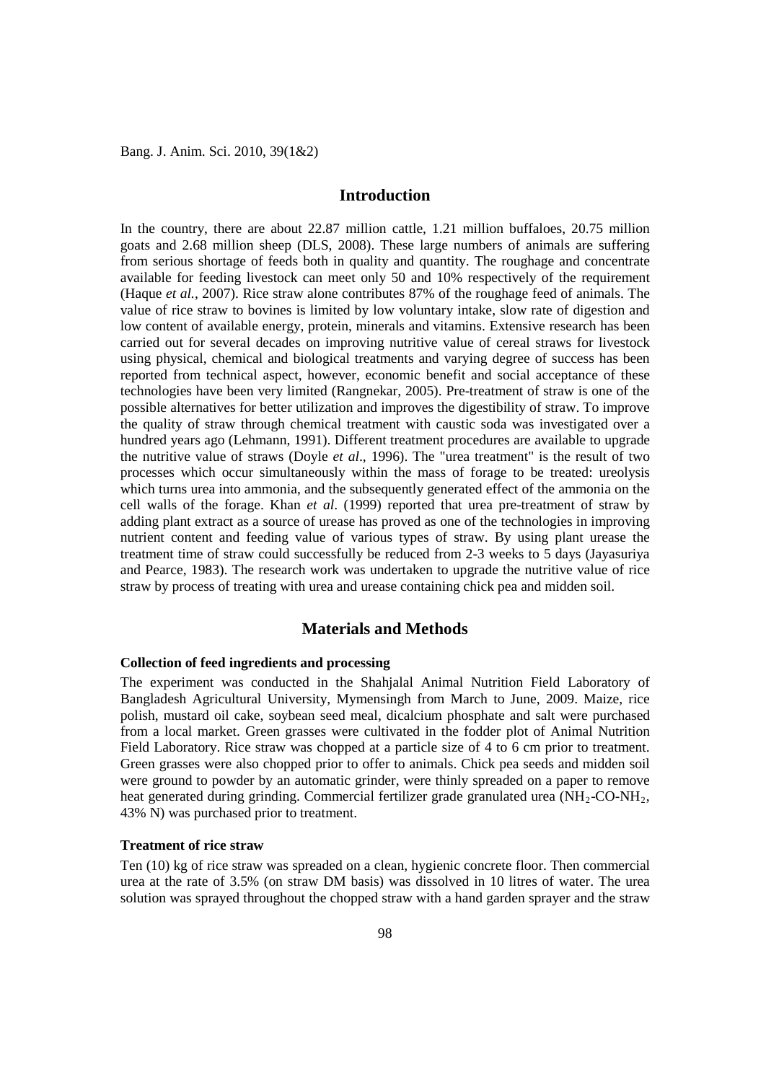Bang. J. Anim. Sci. 2010, 39(1&2)

## **Introduction**

In the country, there are about 22.87 million cattle, 1.21 million buffaloes, 20.75 million goats and 2.68 million sheep (DLS, 2008). These large numbers of animals are suffering from serious shortage of feeds both in quality and quantity. The roughage and concentrate available for feeding livestock can meet only 50 and 10% respectively of the requirement (Haque *et al.*, 2007). Rice straw alone contributes 87% of the roughage feed of animals. The value of rice straw to bovines is limited by low voluntary intake, slow rate of digestion and low content of available energy, protein, minerals and vitamins. Extensive research has been carried out for several decades on improving nutritive value of cereal straws for livestock using physical, chemical and biological treatments and varying degree of success has been reported from technical aspect, however, economic benefit and social acceptance of these technologies have been very limited (Rangnekar, 2005). Pre-treatment of straw is one of the possible alternatives for better utilization and improves the digestibility of straw. To improve the quality of straw through chemical treatment with caustic soda was investigated over a hundred years ago (Lehmann, 1991). Different treatment procedures are available to upgrade the nutritive value of straws (Doyle *et al*., 1996). The "urea treatment" is the result of two processes which occur simultaneously within the mass of forage to be treated: ureolysis which turns urea into ammonia, and the subsequently generated effect of the ammonia on the cell walls of the forage. Khan *et al*. (1999) reported that urea pre-treatment of straw by adding plant extract as a source of urease has proved as one of the technologies in improving nutrient content and feeding value of various types of straw. By using plant urease the treatment time of straw could successfully be reduced from 2-3 weeks to 5 days (Jayasuriya and Pearce, 1983). The research work was undertaken to upgrade the nutritive value of rice straw by process of treating with urea and urease containing chick pea and midden soil.

# **Materials and Methods**

## **Collection of feed ingredients and processing**

The experiment was conducted in the Shahjalal Animal Nutrition Field Laboratory of Bangladesh Agricultural University, Mymensingh from March to June, 2009. Maize, rice polish, mustard oil cake, soybean seed meal, dicalcium phosphate and salt were purchased from a local market. Green grasses were cultivated in the fodder plot of Animal Nutrition Field Laboratory. Rice straw was chopped at a particle size of 4 to 6 cm prior to treatment. Green grasses were also chopped prior to offer to animals. Chick pea seeds and midden soil were ground to powder by an automatic grinder, were thinly spreaded on a paper to remove heat generated during grinding. Commercial fertilizer grade granulated urea  $(NH<sub>2</sub>-CO-NH<sub>2</sub>)$ , 43% N) was purchased prior to treatment.

## **Treatment of rice straw**

Ten (10) kg of rice straw was spreaded on a clean, hygienic concrete floor. Then commercial urea at the rate of 3.5% (on straw DM basis) was dissolved in 10 litres of water. The urea solution was sprayed throughout the chopped straw with a hand garden sprayer and the straw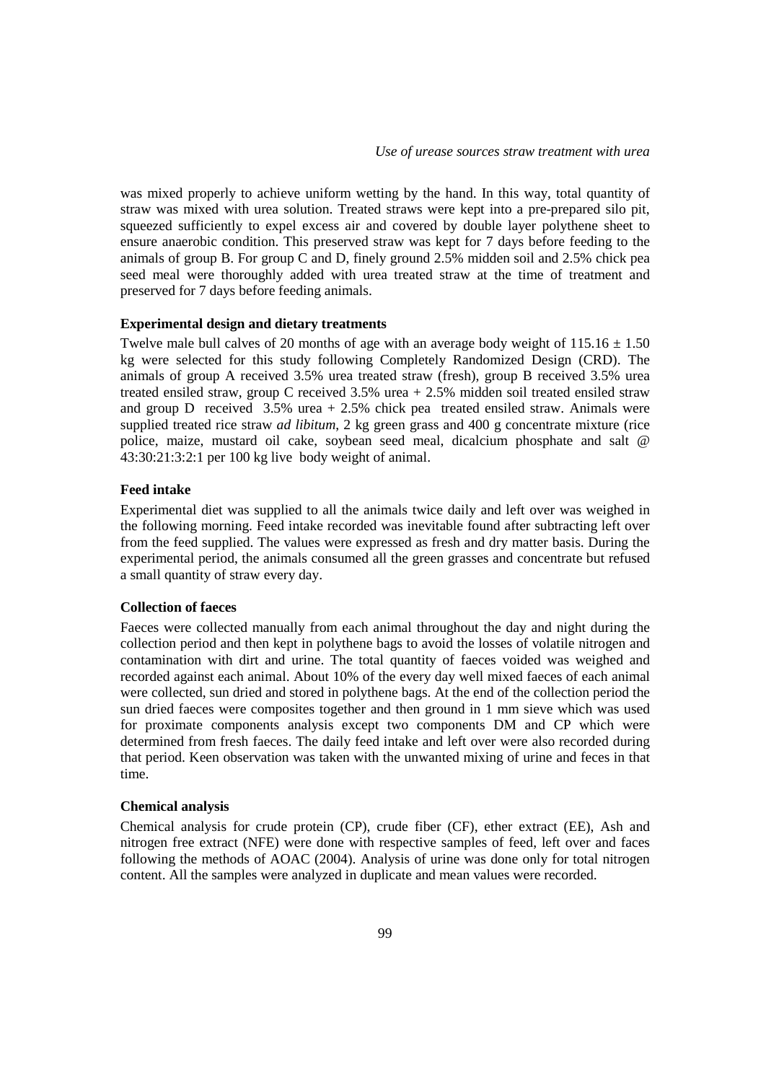was mixed properly to achieve uniform wetting by the hand. In this way, total quantity of straw was mixed with urea solution. Treated straws were kept into a pre-prepared silo pit, squeezed sufficiently to expel excess air and covered by double layer polythene sheet to ensure anaerobic condition. This preserved straw was kept for 7 days before feeding to the animals of group B. For group C and D, finely ground 2.5% midden soil and 2.5% chick pea seed meal were thoroughly added with urea treated straw at the time of treatment and preserved for 7 days before feeding animals.

#### **Experimental design and dietary treatments**

Twelve male bull calves of 20 months of age with an average body weight of  $115.16 \pm 1.50$ kg were selected for this study following Completely Randomized Design (CRD). The animals of group A received 3.5% urea treated straw (fresh), group B received 3.5% urea treated ensiled straw, group C received 3.5% urea + 2.5% midden soil treated ensiled straw and group D received 3.5% urea + 2.5% chick pea treated ensiled straw. Animals were supplied treated rice straw *ad libitum*, 2 kg green grass and 400 g concentrate mixture (rice police, maize, mustard oil cake, soybean seed meal, dicalcium phosphate and salt @ 43:30:21:3:2:1 per 100 kg live body weight of animal.

## **Feed intake**

Experimental diet was supplied to all the animals twice daily and left over was weighed in the following morning. Feed intake recorded was inevitable found after subtracting left over from the feed supplied. The values were expressed as fresh and dry matter basis. During the experimental period, the animals consumed all the green grasses and concentrate but refused a small quantity of straw every day.

#### **Collection of faeces**

Faeces were collected manually from each animal throughout the day and night during the collection period and then kept in polythene bags to avoid the losses of volatile nitrogen and contamination with dirt and urine. The total quantity of faeces voided was weighed and recorded against each animal. About 10% of the every day well mixed faeces of each animal were collected, sun dried and stored in polythene bags. At the end of the collection period the sun dried faeces were composites together and then ground in 1 mm sieve which was used for proximate components analysis except two components DM and CP which were determined from fresh faeces. The daily feed intake and left over were also recorded during that period. Keen observation was taken with the unwanted mixing of urine and feces in that time.

### **Chemical analysis**

Chemical analysis for crude protein (CP), crude fiber (CF), ether extract (EE), Ash and nitrogen free extract (NFE) were done with respective samples of feed, left over and faces following the methods of AOAC (2004). Analysis of urine was done only for total nitrogen content. All the samples were analyzed in duplicate and mean values were recorded.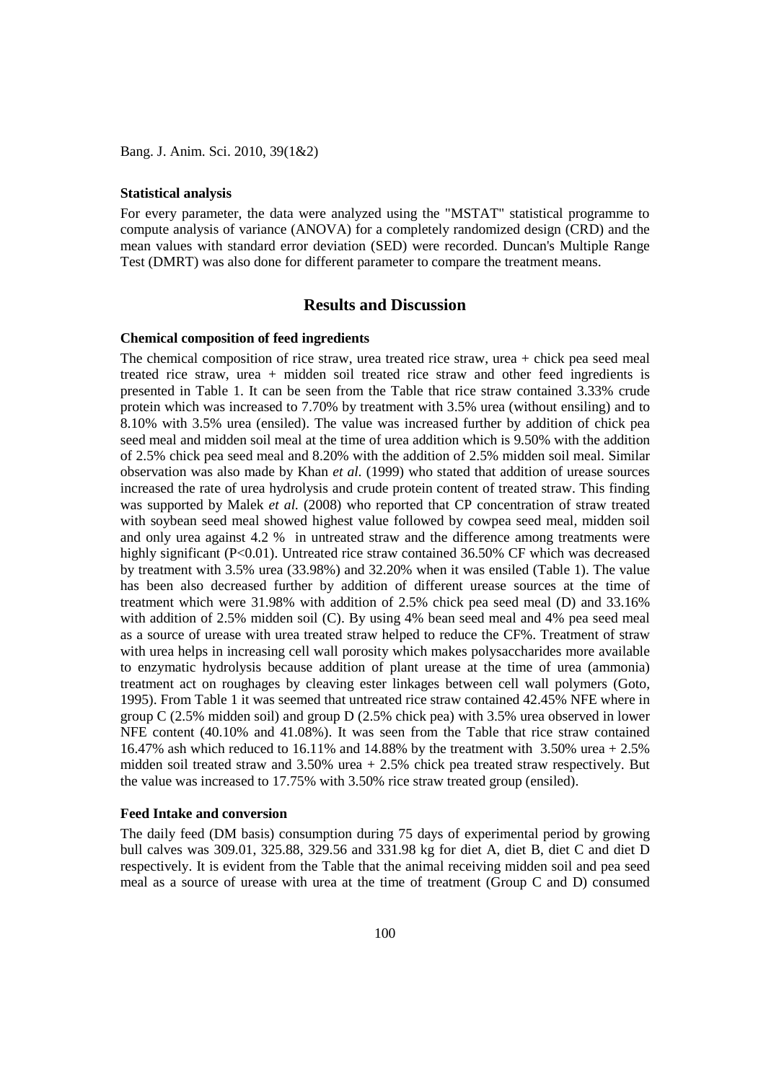Bang. J. Anim. Sci. 2010, 39(1&2)

#### **Statistical analysis**

For every parameter, the data were analyzed using the "MSTAT" statistical programme to compute analysis of variance (ANOVA) for a completely randomized design (CRD) and the mean values with standard error deviation (SED) were recorded. Duncan's Multiple Range Test (DMRT) was also done for different parameter to compare the treatment means.

## **Results and Discussion**

#### **Chemical composition of feed ingredients**

The chemical composition of rice straw, urea treated rice straw, urea + chick pea seed meal treated rice straw, urea + midden soil treated rice straw and other feed ingredients is presented in Table 1. It can be seen from the Table that rice straw contained 3.33% crude protein which was increased to 7.70% by treatment with 3.5% urea (without ensiling) and to 8.10% with 3.5% urea (ensiled). The value was increased further by addition of chick pea seed meal and midden soil meal at the time of urea addition which is 9.50% with the addition of 2.5% chick pea seed meal and 8.20% with the addition of 2.5% midden soil meal. Similar observation was also made by Khan *et al.* (1999) who stated that addition of urease sources increased the rate of urea hydrolysis and crude protein content of treated straw. This finding was supported by Malek *et al.* (2008) who reported that CP concentration of straw treated with soybean seed meal showed highest value followed by cowpea seed meal, midden soil and only urea against 4.2 % in untreated straw and the difference among treatments were highly significant (P<0.01). Untreated rice straw contained 36.50% CF which was decreased by treatment with 3.5% urea (33.98%) and 32.20% when it was ensiled (Table 1). The value has been also decreased further by addition of different urease sources at the time of treatment which were 31.98% with addition of 2.5% chick pea seed meal (D) and 33.16% with addition of 2.5% midden soil (C). By using 4% bean seed meal and 4% pea seed meal as a source of urease with urea treated straw helped to reduce the CF%. Treatment of straw with urea helps in increasing cell wall porosity which makes polysaccharides more available to enzymatic hydrolysis because addition of plant urease at the time of urea (ammonia) treatment act on roughages by cleaving ester linkages between cell wall polymers (Goto, 1995). From Table 1 it was seemed that untreated rice straw contained 42.45% NFE where in group C (2.5% midden soil) and group D (2.5% chick pea) with 3.5% urea observed in lower NFE content (40.10% and 41.08%). It was seen from the Table that rice straw contained 16.47% ash which reduced to 16.11% and 14.88% by the treatment with 3.50% urea + 2.5% midden soil treated straw and 3.50% urea + 2.5% chick pea treated straw respectively. But the value was increased to 17.75% with 3.50% rice straw treated group (ensiled).

#### **Feed Intake and conversion**

The daily feed (DM basis) consumption during 75 days of experimental period by growing bull calves was 309.01, 325.88, 329.56 and 331.98 kg for diet A, diet B, diet C and diet D respectively. It is evident from the Table that the animal receiving midden soil and pea seed meal as a source of urease with urea at the time of treatment (Group C and D) consumed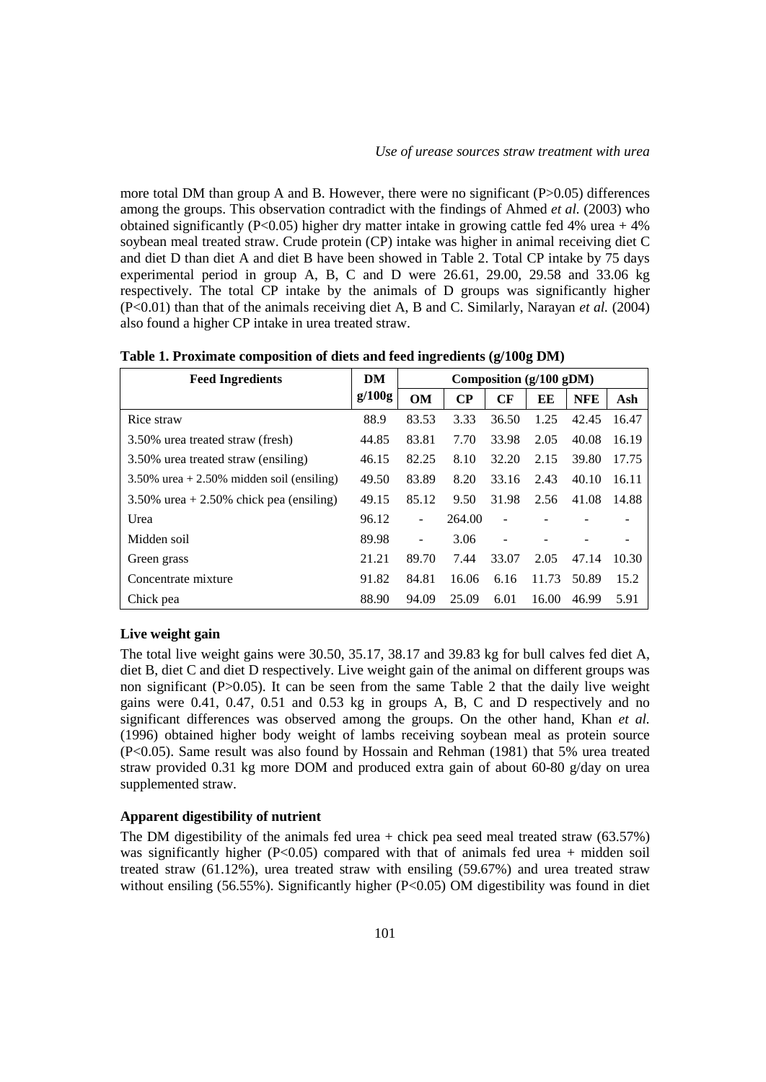more total DM than group A and B. However, there were no significant  $(P>0.05)$  differences among the groups. This observation contradict with the findings of Ahmed *et al.* (2003) who obtained significantly (P<0.05) higher dry matter intake in growing cattle fed 4% urea + 4% soybean meal treated straw. Crude protein (CP) intake was higher in animal receiving diet C and diet D than diet A and diet B have been showed in Table 2. Total CP intake by 75 days experimental period in group A, B, C and D were 26.61, 29.00, 29.58 and 33.06 kg respectively. The total CP intake by the animals of D groups was significantly higher (P<0.01) than that of the animals receiving diet A, B and C. Similarly, Narayan *et al.* (2004) also found a higher CP intake in urea treated straw.

| <b>Feed Ingredients</b>                      | DM     | Composition (g/100 gDM) |          |       |       |            |       |
|----------------------------------------------|--------|-------------------------|----------|-------|-------|------------|-------|
|                                              | g/100g | OM                      | $\bf CP$ | CF    | EE    | <b>NFE</b> | Ash   |
| Rice straw                                   | 88.9   | 83.53                   | 3.33     | 36.50 | 1.25  | 42.45      | 16.47 |
| 3.50% urea treated straw (fresh)             | 44.85  | 83.81                   | 7.70     | 33.98 | 2.05  | 40.08      | 16.19 |
| 3.50% urea treated straw (ensiling)          | 46.15  | 82.25                   | 8.10     | 32.20 | 2.15  | 39.80      | 17.75 |
| $3.50\%$ urea + 2.50% midden soil (ensiling) | 49.50  | 83.89                   | 8.20     | 33.16 | 2.43  | 40.10      | 16.11 |
| $3.50\%$ urea + 2.50% chick pea (ensiling)   | 49.15  | 85.12                   | 9.50     | 31.98 | 2.56  | 41.08      | 14.88 |
| Urea                                         | 96.12  | $\blacksquare$          | 264.00   |       |       |            |       |
| Midden soil                                  | 89.98  |                         | 3.06     |       |       |            |       |
| Green grass                                  | 21.21  | 89.70                   | 7.44     | 33.07 | 2.05  | 47.14      | 10.30 |
| Concentrate mixture                          | 91.82  | 84.81                   | 16.06    | 6.16  | 11.73 | 50.89      | 15.2  |
| Chick pea                                    | 88.90  | 94.09                   | 25.09    | 6.01  | 16.00 | 46.99      | 5.91  |

**Table 1. Proximate composition of diets and feed ingredients (g/100g DM)**

## **Live weight gain**

The total live weight gains were 30.50, 35.17, 38.17 and 39.83 kg for bull calves fed diet A, diet B, diet C and diet D respectively. Live weight gain of the animal on different groups was non significant (P>0.05). It can be seen from the same Table 2 that the daily live weight gains were 0.41, 0.47, 0.51 and 0.53 kg in groups A, B, C and D respectively and no significant differences was observed among the groups. On the other hand, Khan *et al.*  (1996) obtained higher body weight of lambs receiving soybean meal as protein source (P<0.05). Same result was also found by Hossain and Rehman (1981) that 5% urea treated straw provided 0.31 kg more DOM and produced extra gain of about 60-80 g/day on urea supplemented straw.

## **Apparent digestibility of nutrient**

The DM digestibility of the animals fed urea  $+$  chick pea seed meal treated straw (63.57%) was significantly higher  $(P<0.05)$  compared with that of animals fed urea + midden soil treated straw (61.12%), urea treated straw with ensiling (59.67%) and urea treated straw without ensiling (56.55%). Significantly higher (P<0.05) OM digestibility was found in diet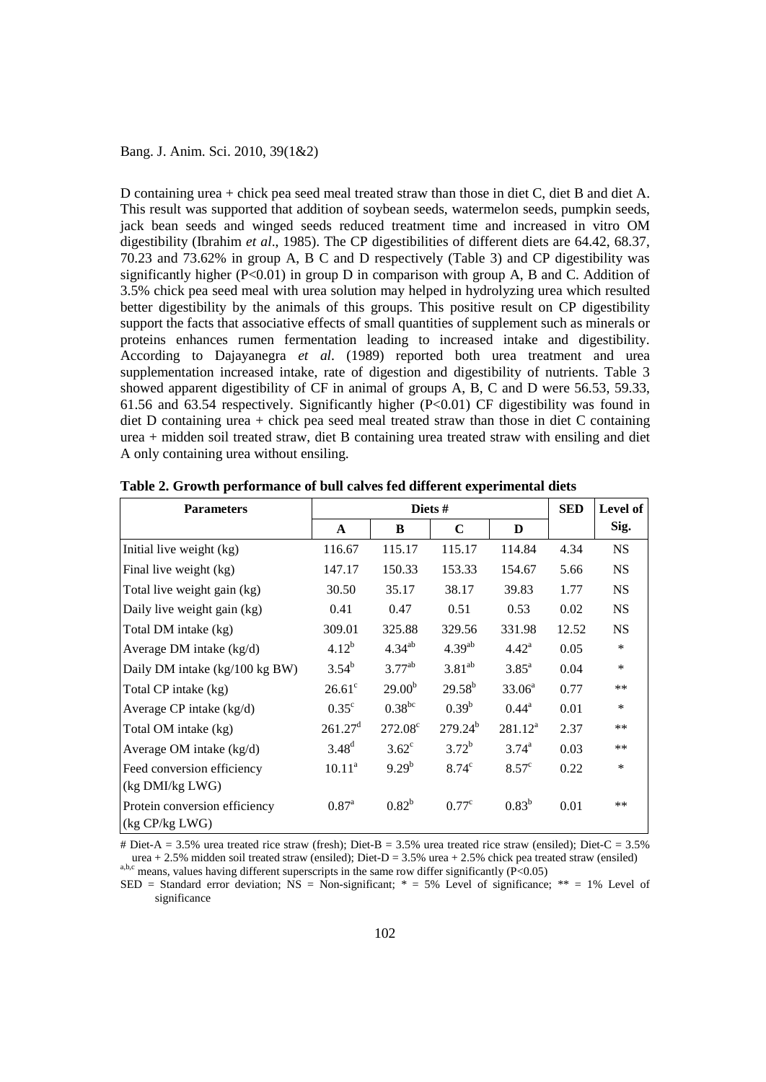### Bang. J. Anim. Sci. 2010, 39(1&2)

D containing urea + chick pea seed meal treated straw than those in diet C, diet B and diet A. This result was supported that addition of soybean seeds, watermelon seeds, pumpkin seeds, jack bean seeds and winged seeds reduced treatment time and increased in vitro OM digestibility (Ibrahim *et al*., 1985). The CP digestibilities of different diets are 64.42, 68.37, 70.23 and 73.62% in group A, B C and D respectively (Table 3) and CP digestibility was significantly higher ( $P<0.01$ ) in group D in comparison with group A, B and C. Addition of 3.5% chick pea seed meal with urea solution may helped in hydrolyzing urea which resulted better digestibility by the animals of this groups. This positive result on CP digestibility support the facts that associative effects of small quantities of supplement such as minerals or proteins enhances rumen fermentation leading to increased intake and digestibility. According to Dajayanegra *et al*. (1989) reported both urea treatment and urea supplementation increased intake, rate of digestion and digestibility of nutrients. Table 3 showed apparent digestibility of CF in animal of groups A, B, C and D were 56.53, 59.33, 61.56 and 63.54 respectively. Significantly higher  $(P<0.01)$  CF digestibility was found in diet D containing urea + chick pea seed meal treated straw than those in diet C containing urea + midden soil treated straw, diet B containing urea treated straw with ensiling and diet A only containing urea without ensiling.

| <b>Parameters</b>              |                     | <b>SED</b>         | Level of       |                   |       |           |
|--------------------------------|---------------------|--------------------|----------------|-------------------|-------|-----------|
|                                | $\mathbf{A}$        | B                  | C              | D                 |       | Sig.      |
| Initial live weight (kg)       | 116.67              | 115.17             | 115.17         | 114.84            | 4.34  | <b>NS</b> |
| Final live weight (kg)         | 147.17              | 150.33             | 153.33         | 154.67            | 5.66  | <b>NS</b> |
| Total live weight gain (kg)    | 30.50               | 35.17              | 38.17          | 39.83             | 1.77  | <b>NS</b> |
| Daily live weight gain (kg)    | 0.41                | 0.47               | 0.51           | 0.53              | 0.02  | <b>NS</b> |
| Total DM intake (kg)           | 309.01              | 325.88             | 329.56         | 331.98            | 12.52 | <b>NS</b> |
| Average DM intake (kg/d)       | $4.12^{b}$          | $4.34^{ab}$        | $4.39^{ab}$    | $4.42^{\rm a}$    | 0.05  | $\ast$    |
| Daily DM intake (kg/100 kg BW) | $3.54^{b}$          | $3.77^{ab}$        | $3.81^{ab}$    | 3.85 <sup>a</sup> | 0.04  | $\ast$    |
| Total CP intake (kg)           | $26.61^{\circ}$     | 29.00 <sup>b</sup> | $29.58^{b}$    | $33.06^a$         | 0.77  | **        |
| Average CP intake $(kg/d)$     | $0.35^{\circ}$      | $0.38^{bc}$        | $0.39^b$       | $0.44^{\rm a}$    | 0.01  | $\ast$    |
| Total OM intake (kg)           | 261.27 <sup>d</sup> | $272.08^{\circ}$   | $279.24^{b}$   | $281.12^a$        | 2.37  | $***$     |
| Average OM intake $(kg/d)$     | 3.48 <sup>d</sup>   | $3.62^{\circ}$     | $3.72^{b}$     | $3.74^{a}$        | 0.03  | $***$     |
| Feed conversion efficiency     | $10.11^a$           | $9.29^{b}$         | $8.74^{\circ}$ | $8.57^{\circ}$    | 0.22  | $\ast$    |
| (kg DMI/kg LWG)                |                     |                    |                |                   |       |           |
| Protein conversion efficiency  | $0.87^{a}$          | $0.82^{b}$         | $0.77^{\circ}$ | $0.83^{b}$        | 0.01  | **        |
| (kg CP/kg LWG)                 |                     |                    |                |                   |       |           |

**Table 2. Growth performance of bull calves fed different experimental diets**

# Diet-A = 3.5% urea treated rice straw (fresh); Diet-B = 3.5% urea treated rice straw (ensiled); Diet-C = 3.5% urea + 2.5% midden soil treated straw (ensiled); Diet-D = 3.5% urea + 2.5% chick pea treated straw (ensiled) a,b,c means, values having different superscripts in the same row differ significantly (P<0.05)

SED = Standard error deviation;  $NS = Non-significant$ ; \* = 5% Level of significance; \*\* = 1% Level of significance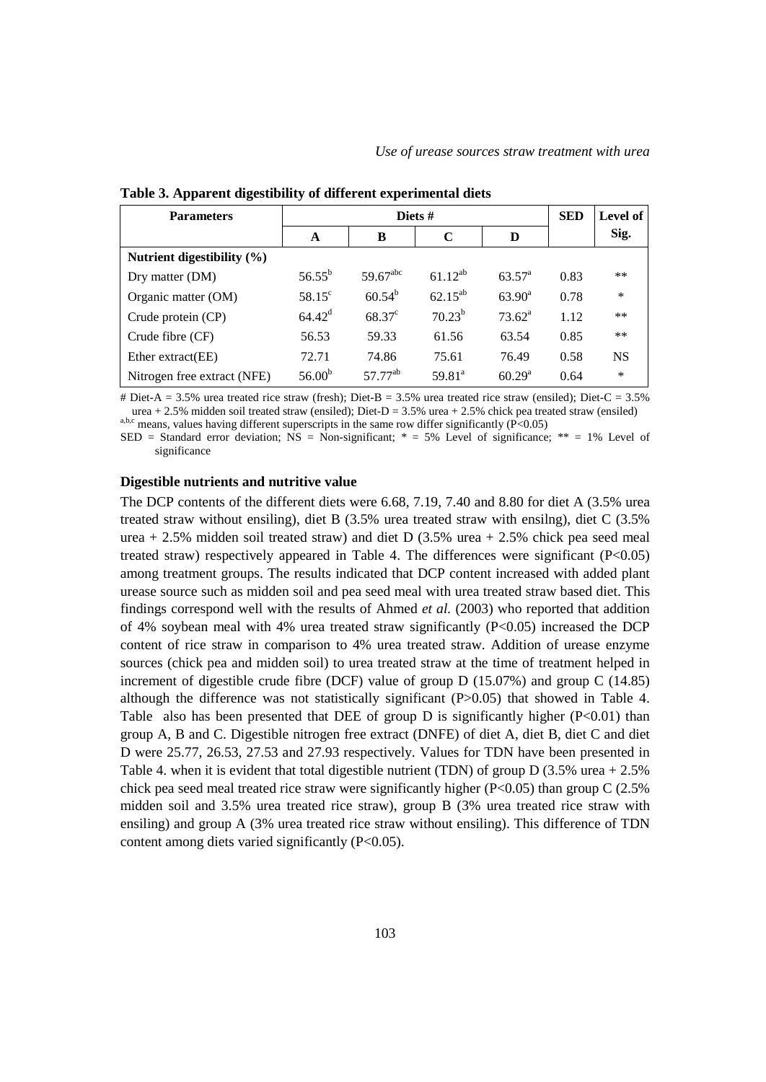| <b>Parameters</b>              | Diets #            |                      |              |                    |      | Level of  |
|--------------------------------|--------------------|----------------------|--------------|--------------------|------|-----------|
|                                | A                  | B                    | $\mathbf C$  | D                  |      | Sig.      |
| Nutrient digestibility $(\% )$ |                    |                      |              |                    |      |           |
| Dry matter (DM)                | $56.55^{\rm b}$    | 59.67 <sup>abc</sup> | $61.12^{ab}$ | $63.57^{\circ}$    | 0.83 | $***$     |
| Organic matter (OM)            | $58.15^{\circ}$    | $60.54^{\rm b}$      | $62.15^{ab}$ | $63.90^{\rm a}$    | 0.78 | $\ast$    |
| Crude protein (CP)             | $64.42^{\rm d}$    | $68.37^{\circ}$      | $70.23^{b}$  | $73.62^a$          | 1.12 | **        |
| Crude fibre (CF)               | 56.53              | 59.33                | 61.56        | 63.54              | 0.85 | **        |
| Ether extract(EE)              | 72.71              | 74.86                | 75.61        | 76.49              | 0.58 | <b>NS</b> |
| Nitrogen free extract (NFE)    | 56.00 <sup>b</sup> | 57.77 <sup>ab</sup>  | $59.81^a$    | 60.29 <sup>a</sup> | 0.64 | $\ast$    |

**Table 3. Apparent digestibility of different experimental diets**

# Diet-A = 3.5% urea treated rice straw (fresh); Diet-B = 3.5% urea treated rice straw (ensiled); Diet-C = 3.5% urea + 2.5% midden soil treated straw (ensiled); Diet-D = 3.5% urea + 2.5% chick pea treated straw (ensiled) a,b,c means, values having different superscripts in the same row differ significantly (P<0.05)

SED = Standard error deviation; NS = Non-significant;  $* = 5%$  Level of significance;  $** = 1%$  Level of significance

#### **Digestible nutrients and nutritive value**

The DCP contents of the different diets were 6.68, 7.19, 7.40 and 8.80 for diet A (3.5% urea treated straw without ensiling), diet B (3.5% urea treated straw with ensilng), diet C (3.5% urea + 2.5% midden soil treated straw) and diet D  $(3.5\%$  urea + 2.5% chick pea seed meal treated straw) respectively appeared in Table 4. The differences were significant (P<0.05) among treatment groups. The results indicated that DCP content increased with added plant urease source such as midden soil and pea seed meal with urea treated straw based diet. This findings correspond well with the results of Ahmed *et al.* (2003) who reported that addition of 4% soybean meal with 4% urea treated straw significantly  $(P<0.05)$  increased the DCP content of rice straw in comparison to 4% urea treated straw. Addition of urease enzyme sources (chick pea and midden soil) to urea treated straw at the time of treatment helped in increment of digestible crude fibre (DCF) value of group D (15.07%) and group C (14.85) although the difference was not statistically significant (P>0.05) that showed in Table 4. Table also has been presented that DEE of group D is significantly higher  $(P<0.01)$  than group A, B and C. Digestible nitrogen free extract (DNFE) of diet A, diet B, diet C and diet D were 25.77, 26.53, 27.53 and 27.93 respectively. Values for TDN have been presented in Table 4. when it is evident that total digestible nutrient (TDN) of group  $D(3.5\%$  urea  $+ 2.5\%$ chick pea seed meal treated rice straw were significantly higher ( $P<0.05$ ) than group C (2.5% midden soil and 3.5% urea treated rice straw), group B (3% urea treated rice straw with ensiling) and group A (3% urea treated rice straw without ensiling). This difference of TDN content among diets varied significantly (P<0.05).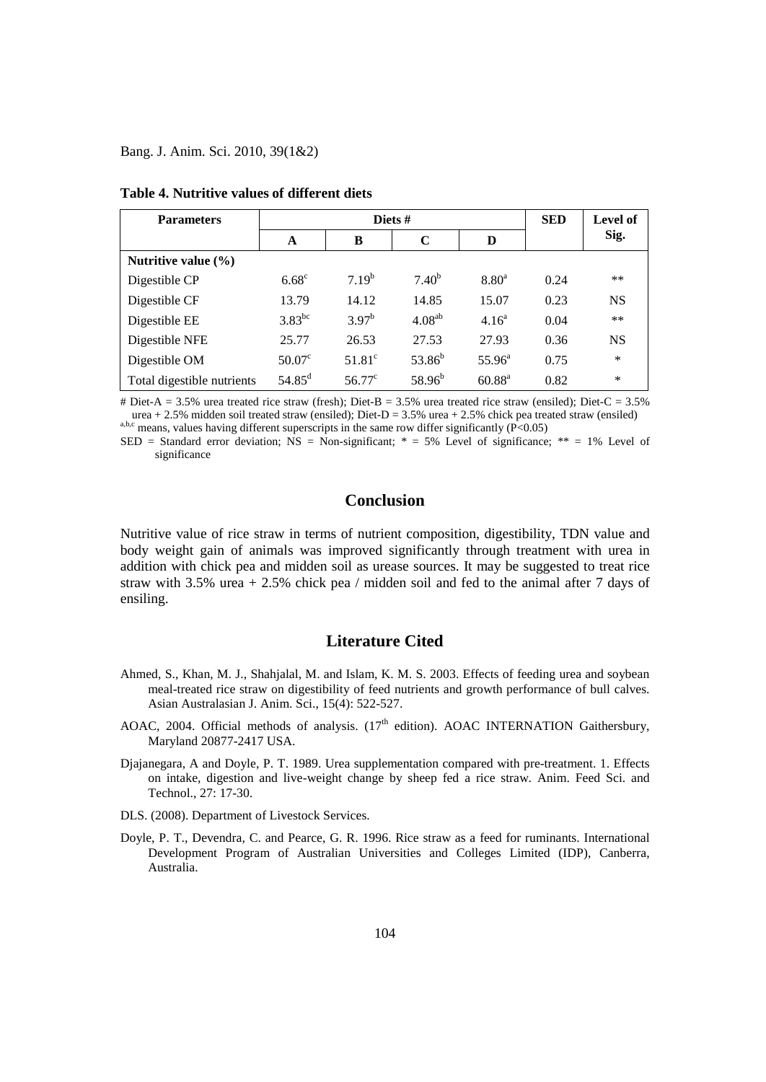Bang. J. Anim. Sci. 2010, 39(1&2)

| <b>Parameters</b>          |                 | Diets $#$       | <b>SED</b>  | Level of        |      |           |
|----------------------------|-----------------|-----------------|-------------|-----------------|------|-----------|
|                            | A               | B               | $\mathbf C$ | D               |      | Sig.      |
| Nutritive value $(\% )$    |                 |                 |             |                 |      |           |
| Digestible CP              | $6.68^\circ$    | $7.19^{b}$      | $7.40^{b}$  | $8.80^{a}$      | 0.24 | $***$     |
| Digestible CF              | 13.79           | 14.12           | 14.85       | 15.07           | 0.23 | <b>NS</b> |
| Digestible EE              | $3.83^{bc}$     | $3.97^{b}$      | $4.08^{ab}$ | $4.16^{\rm a}$  | 0.04 | **        |
| Digestible NFE             | 25.77           | 26.53           | 27.53       | 27.93           | 0.36 | <b>NS</b> |
| Digestible OM              | $50.07^{\circ}$ | $51.81^\circ$   | $53.86^{b}$ | $55.96^{\circ}$ | 0.75 | $\ast$    |
| Total digestible nutrients | $54.85^{\rm d}$ | $56.77^{\circ}$ | $58.96^{b}$ | $60.88^{\rm a}$ | 0.82 | $\ast$    |

**Table 4. Nutritive values of different diets**

# Diet-A = 3.5% urea treated rice straw (fresh); Diet-B = 3.5% urea treated rice straw (ensiled); Diet-C = 3.5% urea + 2.5% midden soil treated straw (ensiled); Diet-D = 3.5% urea + 2.5% chick pea treated straw (ensiled) a,b,c means, values having different superscripts in the same row differ significantly (P<0.05)

SED = Standard error deviation;  $\overline{NS}$  = Non-significant; \* = 5% Level of significance; \*\* = 1% Level of significance

# **Conclusion**

Nutritive value of rice straw in terms of nutrient composition, digestibility, TDN value and body weight gain of animals was improved significantly through treatment with urea in addition with chick pea and midden soil as urease sources. It may be suggested to treat rice straw with 3.5% urea + 2.5% chick pea / midden soil and fed to the animal after 7 days of ensiling.

# **Literature Cited**

- Ahmed, S., Khan, M. J., Shahjalal, M. and Islam, K. M. S. 2003. Effects of feeding urea and soybean meal-treated rice straw on digestibility of feed nutrients and growth performance of bull calves. Asian Australasian J. Anim. Sci., 15(4): 522-527.
- AOAC, 2004. Official methods of analysis.  $(17<sup>th</sup>$  edition). AOAC INTERNATION Gaithersbury, Maryland 20877-2417 USA.
- Djajanegara, A and Doyle, P. T. 1989. Urea supplementation compared with pre-treatment. 1. Effects on intake, digestion and live-weight change by sheep fed a rice straw. Anim. Feed Sci. and Technol., 27: 17-30.

DLS. (2008). Department of Livestock Services.

Doyle, P. T., Devendra, C. and Pearce, G. R. 1996. Rice straw as a feed for ruminants. International Development Program of Australian Universities and Colleges Limited (IDP), Canberra, Australia.